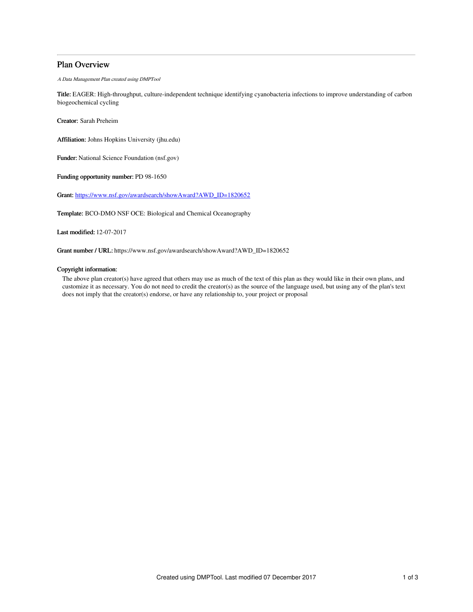# Plan Overview

A Data Management Plan created using DMPTool

Title: EAGER: High-throughput, culture-independent technique identifying cyanobacteria infections to improve understanding of carbon biogeochemical cycling

Creator: Sarah Preheim

Affiliation: Johns Hopkins University (jhu.edu)

Funder: National Science Foundation (nsf.gov)

Funding opportunity number: PD 98-1650

Grant: [https://www.nsf.gov/awardsearch/showAward?AWD\\_ID=1820652](https://www.nsf.gov/awardsearch/showAward?AWD_ID=1820652)

Template: BCO-DMO NSF OCE: Biological and Chemical Oceanography

Last modified: 12-07-2017

Grant number / URL: https://www.nsf.gov/awardsearch/showAward?AWD\_ID=1820652

## Copyright information:

The above plan creator(s) have agreed that others may use as much of the text of this plan as they would like in their own plans, and customize it as necessary. You do not need to credit the creator(s) as the source of the language used, but using any of the plan's text does not imply that the creator(s) endorse, or have any relationship to, your project or proposal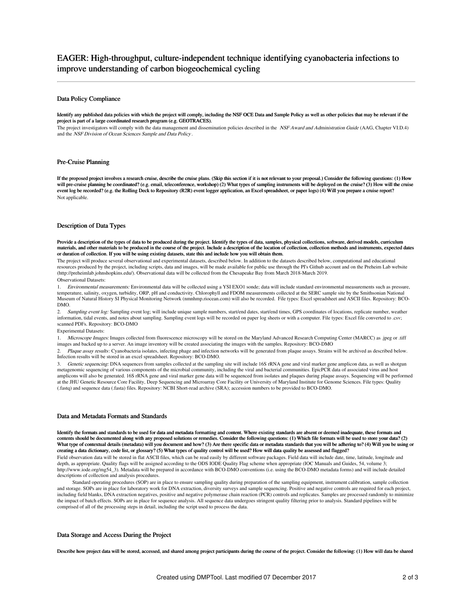#### Data Policy Compliance

Identify any published data policies with which the project will comply, including the NSF OCE Data and Sample Policy as well as other policies that may be relevant if the project is part of a large coordinated research program (e.g. GEOTRACES).

The project investigators will comply with the data management and dissemination policies described in the NSF Award and Administration Guide (AAG, Chapter VI.D.4) and the NSF Division of Ocean Sciences Sample and Data Policy .

#### Pre-Cruise Planning

If the proposed project involves a research cruise, describe the cruise plans. (Skip this section if it is not relevant to your proposal.) Consider the following questions: (1) How will pre-cruise planning be coordinated? (e.g. email, teleconference, workshop) (2) What types of sampling instruments will be deployed on the cruise? (3) How will the cruise event log be recorded? (e.g. the Rolling Deck to Repository (R2R) event logger application, an Excel spreadsheet, or paper logs) (4) Will you prepare a cruise report? Not applicable.

#### Description of Data Types

Provide a description of the types of data to be produced during the project. Identify the types of data, samples, physical collections, software, derived models, curriculum materials, and other materials to be produced in the course of the project. Include a description of the location of collection, collection methods and instruments, expected dates or duration of collection. If you will be using existing datasets, state this and include how you will obtain them.

The project will produce several observational and experimental datasets, described below. In addition to the datasets described below, computational and educational resources produced by the project, including scripts, data and images, will be made available for public use through the PI's Github account and on the Preheim Lab website (http://preheimlab.johnshopkins.edu/). Observational data will be collected from the Chesapeake Bay from March 2018-March 2019.

### Observational Datasets:

1. Environmental measurements: Environmental data will be collected using a YSI EXO1 sonde; data will include standard environmental measurements such as pressure, temperature, salinity, oxygen, turbidity, ORP, pH and conductivity. Chlorophyll and FDOM measurements collected at the SERC sample site by the Smithsonian National Museum of Natural History SI Physical Monitoring Network (nmnhmp.riocean.com) will also be recorded. File types: Excel spreadsheet and ASCII files. Repository: BCO-DMO.

2. Sampling event log: Sampling event log; will include unique sample numbers, start/end dates, start/end times, GPS coordinates of locations, replicate number, weather information, tidal events, and notes about sampling. Sampling event logs will be recorded on paper log sheets or with a computer. File types: Excel file converted to .csv; scanned PDFs. Repository: BCO-DMO

#### Experimental Datasets:

1. Microscope Images: Images collected from fluorescence microscopy will be stored on the Maryland Advanced Research Computing Center (MARCC) as .jpeg or .tiff images and backed up to a server. An image inventory will be created associating the images with the samples. Repository: BCO-DMO

2. Plaque assay results: Cyanobacteria isolates, infecting phage and infection networks will be generated from plaque assays. Strains will be archived as described below. Infection results will be stored in an excel spreadsheet. Repository: BCO-DMO.

3. *Genetic sequencing:* DNA sequences from samples collected at the sampling site will include 16S rRNA gene and viral marker gene amplicon data, as well as shotgun<br>metagenomic sequencing of various components of the micr amplicons will also be generated. 16S rRNA gene and viral marker gene data will be sequenced from isolates and plaques during plaque assays. Sequencing will be performed at the JHU Genetic Resource Core Facility, Deep Sequencing and Microarray Core Facility or University of Maryland Institute for Genome Sciences. File types: Quality (.fastq) and sequence data (.fasta) files. Repository: NCBI Short-read archive (SRA); accession numbers to be provided to BCO-DMO.

#### Data and Metadata Formats and Standards

Identify the formats and standards to be used for data and metadata formatting and content. Where existing standards are absent or deemed inadequate, these formats and contents should be documented along with any proposed solutions or remedies. Consider the following questions: (1) Which file formats will be used to store your data? (2) What type of contextual details (metadata) will you document and how? (3) Are there specific data or metadata standards that you will be adhering to? (4) Will you be using or creating a data dictionary, code list, or glossary? (5) What types of quality control will be used? How will data quality be assessed and flagged?

Field observation data will be stored in flat ASCII files, which can be read easily by different software packages. Field data will include date, time, latitude, longitude and depth, as appropriate. Quality flags will be assigned according to the ODS IODE Quality Flag scheme when appropriate (IOC Manuals and Guides, 54, volume 3; http://www.iode.org/mg54\_3). Metadata will be prepared in accordance with BCO-DMO conventions (i.e. using the BCO-DMO metadata forms) and will include detailed descriptions of collection and analysis procedures.

Standard operating procedures (SOP) are in place to ensure sampling quality during preparation of the sampling equipment, instrument calibration, sample collection and storage. SOPs are in place for laboratory work for DNA extraction, diversity surveys and sample sequencing. Positive and negative controls are required for each project,<br>including field blanks, DNA extraction negatives the impact of batch effects. SOPs are in place for sequence analysis. All sequence data undergoes stringent quality filtering prior to analysis. Standard pipelines will be comprised of all of the processing steps in detail, including the script used to process the data.

### Data Storage and Access During the Project

Describe how project data will be stored, accessed, and shared among project participants during the course of the project. Consider the following: (1) How will data be shared